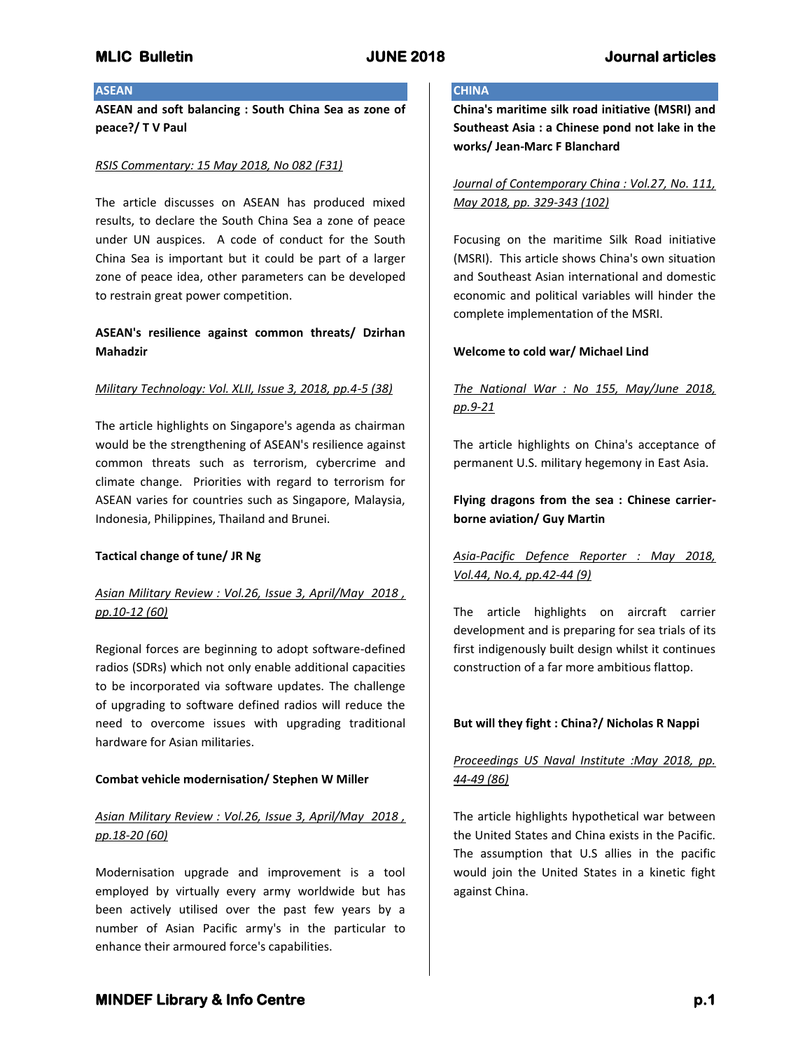### **ASEAN**

**ASEAN and soft balancing : South China Sea as zone of peace?/ T V Paul**

#### *RSIS Commentary: 15 May 2018, No 082 (F31)*

The article discusses on ASEAN has produced mixed results, to declare the South China Sea a zone of peace under UN auspices. A code of conduct for the South China Sea is important but it could be part of a larger zone of peace idea, other parameters can be developed to restrain great power competition.

## **ASEAN's resilience against common threats/ Dzirhan Mahadzir**

#### *Military Technology: Vol. XLII, Issue 3, 2018, pp.4-5 (38)*

The article highlights on Singapore's agenda as chairman would be the strengthening of ASEAN's resilience against common threats such as terrorism, cybercrime and climate change. Priorities with regard to terrorism for ASEAN varies for countries such as Singapore, Malaysia, Indonesia, Philippines, Thailand and Brunei.

#### **Tactical change of tune/ JR Ng**

## *Asian Military Review : Vol.26, Issue 3, April/May 2018 , pp.10-12 (60)*

Regional forces are beginning to adopt software-defined radios (SDRs) which not only enable additional capacities to be incorporated via software updates. The challenge of upgrading to software defined radios will reduce the need to overcome issues with upgrading traditional hardware for Asian militaries.

### **Combat vehicle modernisation/ Stephen W Miller**

## *Asian Military Review : Vol.26, Issue 3, April/May 2018 , pp.18-20 (60)*

Modernisation upgrade and improvement is a tool employed by virtually every army worldwide but has been actively utilised over the past few years by a number of Asian Pacific army's in the particular to enhance their armoured force's capabilities.

#### **CHINA**

**China's maritime silk road initiative (MSRI) and Southeast Asia : a Chinese pond not lake in the works/ Jean-Marc F Blanchard**

*Journal of Contemporary China : Vol.27, No. 111, May 2018, pp. 329-343 (102)*

Focusing on the maritime Silk Road initiative (MSRI). This article shows China's own situation and Southeast Asian international and domestic economic and political variables will hinder the complete implementation of the MSRI.

### **Welcome to cold war/ Michael Lind**

## *The National War : No 155, May/June 2018, pp.9-21*

The article highlights on China's acceptance of permanent U.S. military hegemony in East Asia.

**Flying dragons from the sea : Chinese carrierborne aviation/ Guy Martin**

## *Asia-Pacific Defence Reporter : May 2018, Vol.44, No.4, pp.42-44 (9)*

The article highlights on aircraft carrier development and is preparing for sea trials of its first indigenously built design whilst it continues construction of a far more ambitious flattop.

### **But will they fight : China?/ Nicholas R Nappi**

## *Proceedings US Naval Institute :May 2018, pp. 44-49 (86)*

The article highlights hypothetical war between the United States and China exists in the Pacific. The assumption that U.S allies in the pacific would join the United States in a kinetic fight against China.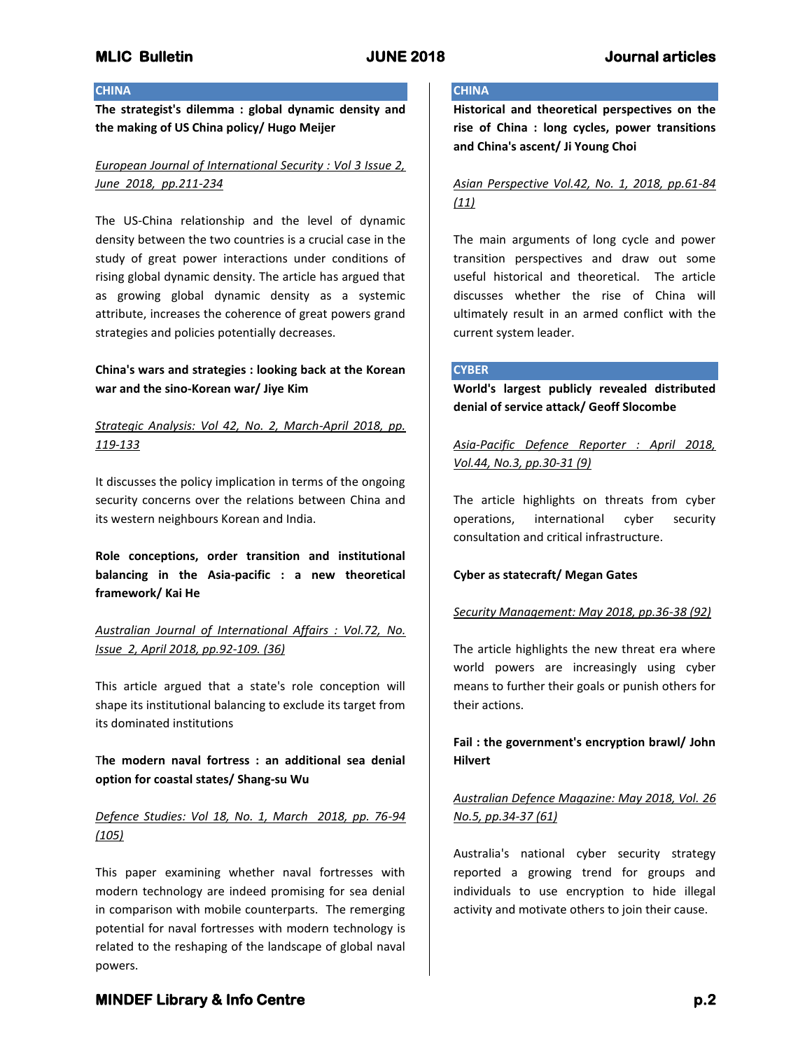#### **CHINA**

**The strategist's dilemma : global dynamic density and the making of US China policy/ Hugo Meijer**

## *European Journal of International Security : Vol 3 Issue 2, June 2018, pp.211-234*

The US-China relationship and the level of dynamic density between the two countries is a crucial case in the study of great power interactions under conditions of rising global dynamic density. The article has argued that as growing global dynamic density as a systemic attribute, increases the coherence of great powers grand strategies and policies potentially decreases.

## **China's wars and strategies : looking back at the Korean war and the sino-Korean war/ Jiye Kim**

## *Strategic Analysis: Vol 42, No. 2, March-April 2018, pp. 119-133*

It discusses the policy implication in terms of the ongoing security concerns over the relations between China and its western neighbours Korean and India.

**Role conceptions, order transition and institutional balancing in the Asia-pacific : a new theoretical framework/ Kai He**

*Australian Journal of International Affairs : Vol.72, No. Issue 2, April 2018, pp.92-109. (36)*

This article argued that a state's role conception will shape its institutional balancing to exclude its target from its dominated institutions

## T**he modern naval fortress : an additional sea denial option for coastal states/ Shang-su Wu**

## *Defence Studies: Vol 18, No. 1, March 2018, pp. 76-94 (105)*

This paper examining whether naval fortresses with modern technology are indeed promising for sea denial in comparison with mobile counterparts. The remerging potential for naval fortresses with modern technology is related to the reshaping of the landscape of global naval powers.

#### **CHINA**

**Historical and theoretical perspectives on the rise of China : long cycles, power transitions and China's ascent/ Ji Young Choi**

## *Asian Perspective Vol.42, No. 1, 2018, pp.61-84 (11)*

The main arguments of long cycle and power transition perspectives and draw out some useful historical and theoretical. The article discusses whether the rise of China will ultimately result in an armed conflict with the current system leader.

#### **CYBER**

**World's largest publicly revealed distributed denial of service attack/ Geoff Slocombe**

*Asia-Pacific Defence Reporter : April 2018, Vol.44, No.3, pp.30-31 (9)*

The article highlights on threats from cyber operations, international cyber security consultation and critical infrastructure.

### **Cyber as statecraft/ Megan Gates**

#### *Security Management: May 2018, pp.36-38 (92)*

The article highlights the new threat era where world powers are increasingly using cyber means to further their goals or punish others for their actions.

**Fail : the government's encryption brawl/ John Hilvert**

## *Australian Defence Magazine: May 2018, Vol. 26 No.5, pp.34-37 (61)*

Australia's national cyber security strategy reported a growing trend for groups and individuals to use encryption to hide illegal activity and motivate others to join their cause.

# **MINDEF Library & Info Centre** *p.2* **p.2**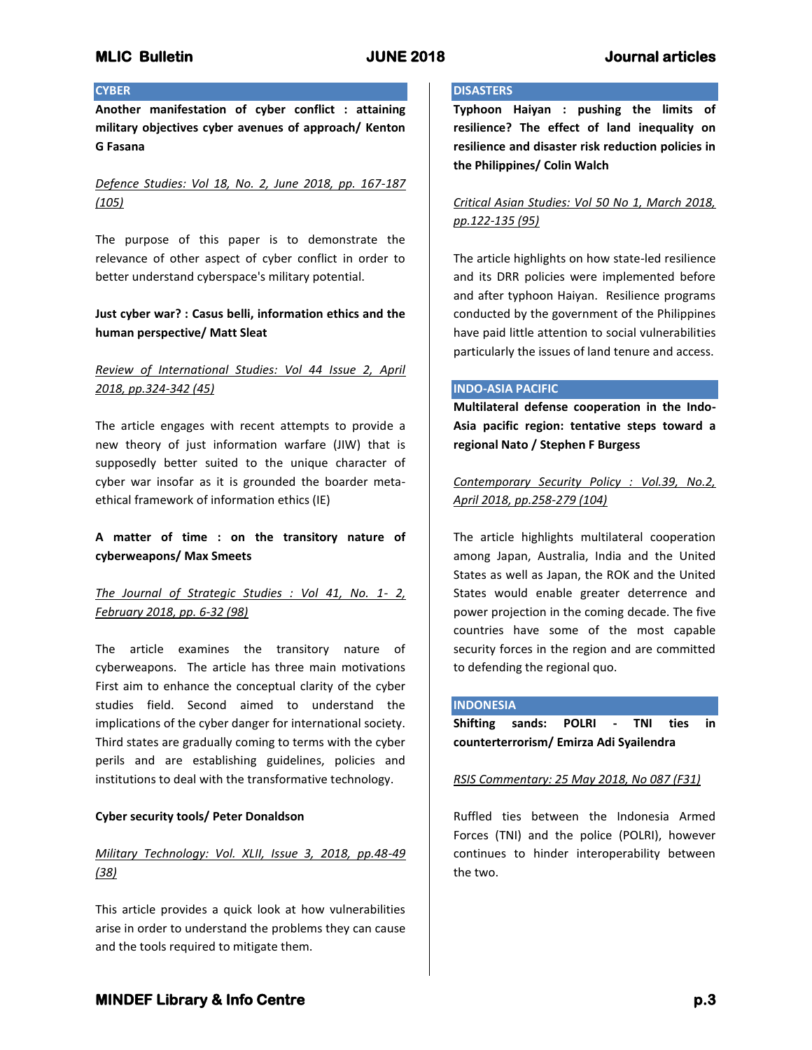#### **CYBER**

**Another manifestation of cyber conflict : attaining military objectives cyber avenues of approach/ Kenton G Fasana**

## *Defence Studies: Vol 18, No. 2, June 2018, pp. 167-187 (105)*

The purpose of this paper is to demonstrate the relevance of other aspect of cyber conflict in order to better understand cyberspace's military potential.

## **Just cyber war? : Casus belli, information ethics and the human perspective/ Matt Sleat**

## *Review of International Studies: Vol 44 Issue 2, April 2018, pp.324-342 (45)*

The article engages with recent attempts to provide a new theory of just information warfare (JIW) that is supposedly better suited to the unique character of cyber war insofar as it is grounded the boarder metaethical framework of information ethics (IE)

## **A matter of time : on the transitory nature of cyberweapons/ Max Smeets**

## *The Journal of Strategic Studies : Vol 41, No. 1- 2, February 2018, pp. 6-32 (98)*

The article examines the transitory nature of cyberweapons. The article has three main motivations First aim to enhance the conceptual clarity of the cyber studies field. Second aimed to understand the implications of the cyber danger for international society. Third states are gradually coming to terms with the cyber perils and are establishing guidelines, policies and institutions to deal with the transformative technology.

### **Cyber security tools/ Peter Donaldson**

## *Military Technology: Vol. XLII, Issue 3, 2018, pp.48-49 (38)*

This article provides a quick look at how vulnerabilities arise in order to understand the problems they can cause and the tools required to mitigate them.

#### **DISASTERS**

**Typhoon Haiyan : pushing the limits of resilience? The effect of land inequality on resilience and disaster risk reduction policies in the Philippines/ Colin Walch**

## *Critical Asian Studies: Vol 50 No 1, March 2018, pp.122-135 (95)*

The article highlights on how state-led resilience and its DRR policies were implemented before and after typhoon Haiyan. Resilience programs conducted by the government of the Philippines have paid little attention to social vulnerabilities particularly the issues of land tenure and access.

#### **INDO-ASIA PACIFIC**

**Multilateral defense cooperation in the Indo-Asia pacific region: tentative steps toward a regional Nato / Stephen F Burgess**

*Contemporary Security Policy : Vol.39, No.2, April 2018, pp.258-279 (104)*

The article highlights multilateral cooperation among Japan, Australia, India and the United States as well as Japan, the ROK and the United States would enable greater deterrence and power projection in the coming decade. The five countries have some of the most capable security forces in the region and are committed to defending the regional quo.

#### **INDONESIA**

**Shifting sands: POLRI - TNI ties in counterterrorism/ Emirza Adi Syailendra**

### *RSIS Commentary: 25 May 2018, No 087 (F31)*

Ruffled ties between the Indonesia Armed Forces (TNI) and the police (POLRI), however continues to hinder interoperability between the two.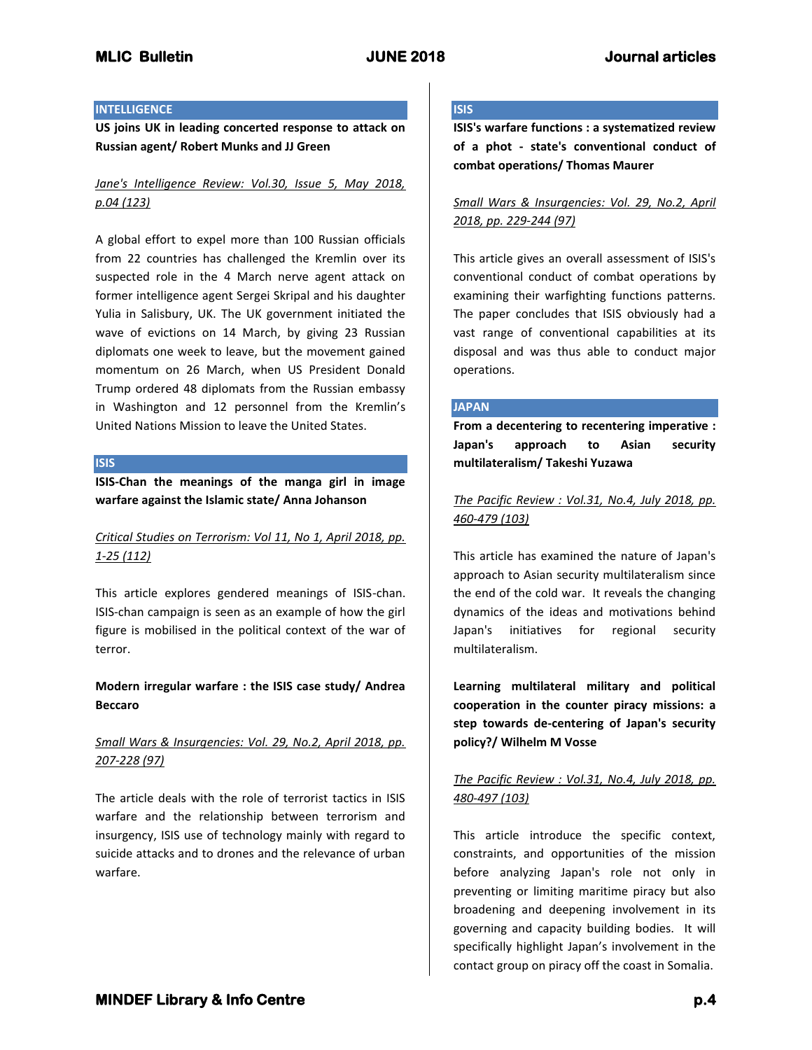### **INTELLIGENCE**

**US joins UK in leading concerted response to attack on Russian agent/ Robert Munks and JJ Green**

## *Jane's Intelligence Review: Vol.30, Issue 5, May 2018, p.04 (123)*

A global effort to expel more than 100 Russian officials from 22 countries has challenged the Kremlin over its suspected role in the 4 March nerve agent attack on former intelligence agent Sergei Skripal and his daughter Yulia in Salisbury, UK. The UK government initiated the wave of evictions on 14 March, by giving 23 Russian diplomats one week to leave, but the movement gained momentum on 26 March, when US President Donald Trump ordered 48 diplomats from the Russian embassy in Washington and 12 personnel from the Kremlin's United Nations Mission to leave the United States.

## **ISIS**

**ISIS-Chan the meanings of the manga girl in image warfare against the Islamic state/ Anna Johanson**

## *Critical Studies on Terrorism: Vol 11, No 1, April 2018, pp. 1-25 (112)*

This article explores gendered meanings of ISIS-chan. ISIS-chan campaign is seen as an example of how the girl figure is mobilised in the political context of the war of terror.

## **Modern irregular warfare : the ISIS case study/ Andrea Beccaro**

## *Small Wars & Insurgencies: Vol. 29, No.2, April 2018, pp. 207-228 (97)*

The article deals with the role of terrorist tactics in ISIS warfare and the relationship between terrorism and insurgency, ISIS use of technology mainly with regard to suicide attacks and to drones and the relevance of urban warfare.

# **ISIS**

**ISIS's warfare functions : a systematized review of a phot - state's conventional conduct of combat operations/ Thomas Maurer**

## *Small Wars & Insurgencies: Vol. 29, No.2, April 2018, pp. 229-244 (97)*

This article gives an overall assessment of ISIS's conventional conduct of combat operations by examining their warfighting functions patterns. The paper concludes that ISIS obviously had a vast range of conventional capabilities at its disposal and was thus able to conduct major operations.

### **JAPAN**

**From a decentering to recentering imperative : Japan's approach to Asian security multilateralism/ Takeshi Yuzawa**

*The Pacific Review : Vol.31, No.4, July 2018, pp. 460-479 (103)*

This article has examined the nature of Japan's approach to Asian security multilateralism since the end of the cold war. It reveals the changing dynamics of the ideas and motivations behind Japan's initiatives for regional security multilateralism.

**Learning multilateral military and political cooperation in the counter piracy missions: a step towards de-centering of Japan's security policy?/ Wilhelm M Vosse**

## *The Pacific Review : Vol.31, No.4, July 2018, pp. 480-497 (103)*

This article introduce the specific context, constraints, and opportunities of the mission before analyzing Japan's role not only in preventing or limiting maritime piracy but also broadening and deepening involvement in its governing and capacity building bodies. It will specifically highlight Japan's involvement in the contact group on piracy off the coast in Somalia.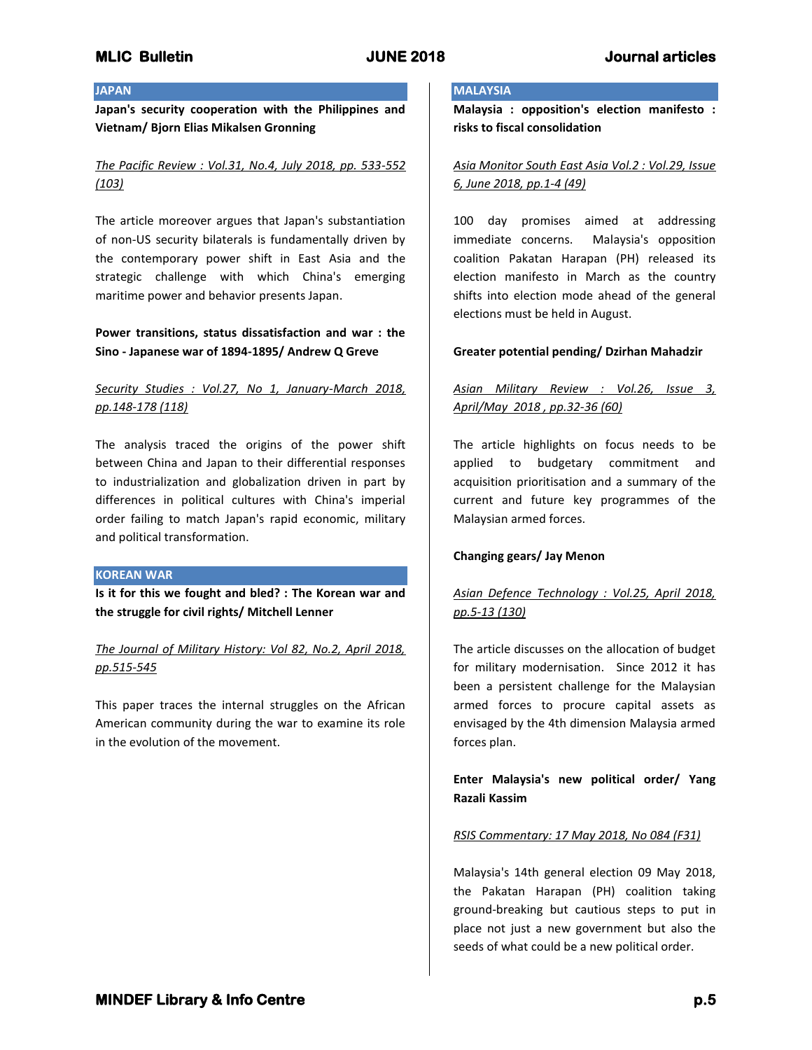#### **JAPAN**

**Japan's security cooperation with the Philippines and Vietnam/ Bjorn Elias Mikalsen Gronning**

## *The Pacific Review : Vol.31, No.4, July 2018, pp. 533-552 (103)*

The article moreover argues that Japan's substantiation of non-US security bilaterals is fundamentally driven by the contemporary power shift in East Asia and the strategic challenge with which China's emerging maritime power and behavior presents Japan.

## **Power transitions, status dissatisfaction and war : the Sino - Japanese war of 1894-1895/ Andrew Q Greve**

## *Security Studies : Vol.27, No 1, January-March 2018, pp.148-178 (118)*

The analysis traced the origins of the power shift between China and Japan to their differential responses to industrialization and globalization driven in part by differences in political cultures with China's imperial order failing to match Japan's rapid economic, military and political transformation.

### **KOREAN WAR**

**Is it for this we fought and bled? : The Korean war and the struggle for civil rights/ Mitchell Lenner**

## *The Journal of Military History: Vol 82, No.2, April 2018, pp.515-545*

This paper traces the internal struggles on the African American community during the war to examine its role in the evolution of the movement.

#### **MALAYSIA**

**Malaysia : opposition's election manifesto : risks to fiscal consolidation**

## *Asia Monitor South East Asia Vol.2 : Vol.29, Issue 6, June 2018, pp.1-4 (49)*

100 day promises aimed at addressing immediate concerns. Malaysia's opposition coalition Pakatan Harapan (PH) released its election manifesto in March as the country shifts into election mode ahead of the general elections must be held in August.

## **Greater potential pending/ Dzirhan Mahadzir**

## *Asian Military Review : Vol.26, Issue 3, April/May 2018 , pp.32-36 (60)*

The article highlights on focus needs to be applied to budgetary commitment and acquisition prioritisation and a summary of the current and future key programmes of the Malaysian armed forces.

### **Changing gears/ Jay Menon**

# *Asian Defence Technology : Vol.25, April 2018, pp.5-13 (130)*

The article discusses on the allocation of budget for military modernisation. Since 2012 it has been a persistent challenge for the Malaysian armed forces to procure capital assets as envisaged by the 4th dimension Malaysia armed forces plan.

## **Enter Malaysia's new political order/ Yang Razali Kassim**

## *RSIS Commentary: 17 May 2018, No 084 (F31)*

Malaysia's 14th general election 09 May 2018, the Pakatan Harapan (PH) coalition taking ground-breaking but cautious steps to put in place not just a new government but also the seeds of what could be a new political order.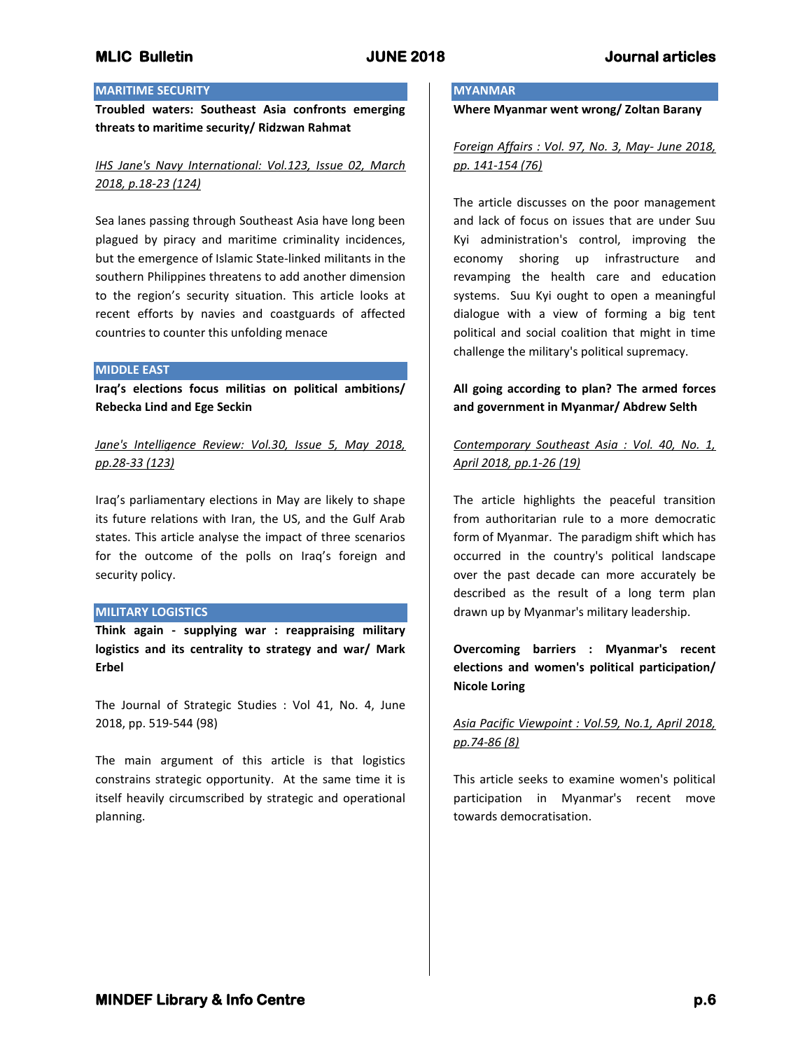## **MARITIME SECURITY**

**Troubled waters: Southeast Asia confronts emerging threats to maritime security/ Ridzwan Rahmat**

## *IHS Jane's Navy International: Vol.123, Issue 02, March 2018, p.18-23 (124)*

Sea lanes passing through Southeast Asia have long been plagued by piracy and maritime criminality incidences, but the emergence of Islamic State-linked militants in the southern Philippines threatens to add another dimension to the region's security situation. This article looks at recent efforts by navies and coastguards of affected countries to counter this unfolding menace

#### **MIDDLE EAST**

**Iraq's elections focus militias on political ambitions/ Rebecka Lind and Ege Seckin**

*Jane's Intelligence Review: Vol.30, Issue 5, May 2018, pp.28-33 (123)*

Iraq's parliamentary elections in May are likely to shape its future relations with Iran, the US, and the Gulf Arab states. This article analyse the impact of three scenarios for the outcome of the polls on Iraq's foreign and security policy.

#### **MILITARY LOGISTICS**

**Think again - supplying war : reappraising military logistics and its centrality to strategy and war/ Mark Erbel**

The Journal of Strategic Studies : Vol 41, No. 4, June 2018, pp. 519-544 (98)

The main argument of this article is that logistics constrains strategic opportunity. At the same time it is itself heavily circumscribed by strategic and operational planning.

#### **MYANMAR**

**Where Myanmar went wrong/ Zoltan Barany**

*Foreign Affairs : Vol. 97, No. 3, May- June 2018, pp. 141-154 (76)*

The article discusses on the poor management and lack of focus on issues that are under Suu Kyi administration's control, improving the economy shoring up infrastructure and revamping the health care and education systems. Suu Kyi ought to open a meaningful dialogue with a view of forming a big tent political and social coalition that might in time challenge the military's political supremacy.

## **All going according to plan? The armed forces and government in Myanmar/ Abdrew Selth**

*Contemporary Southeast Asia : Vol. 40, No. 1, April 2018, pp.1-26 (19)*

The article highlights the peaceful transition from authoritarian rule to a more democratic form of Myanmar. The paradigm shift which has occurred in the country's political landscape over the past decade can more accurately be described as the result of a long term plan drawn up by Myanmar's military leadership.

**Overcoming barriers : Myanmar's recent elections and women's political participation/ Nicole Loring**

## *Asia Pacific Viewpoint : Vol.59, No.1, April 2018, pp.74-86 (8)*

This article seeks to examine women's political participation in Myanmar's recent move towards democratisation.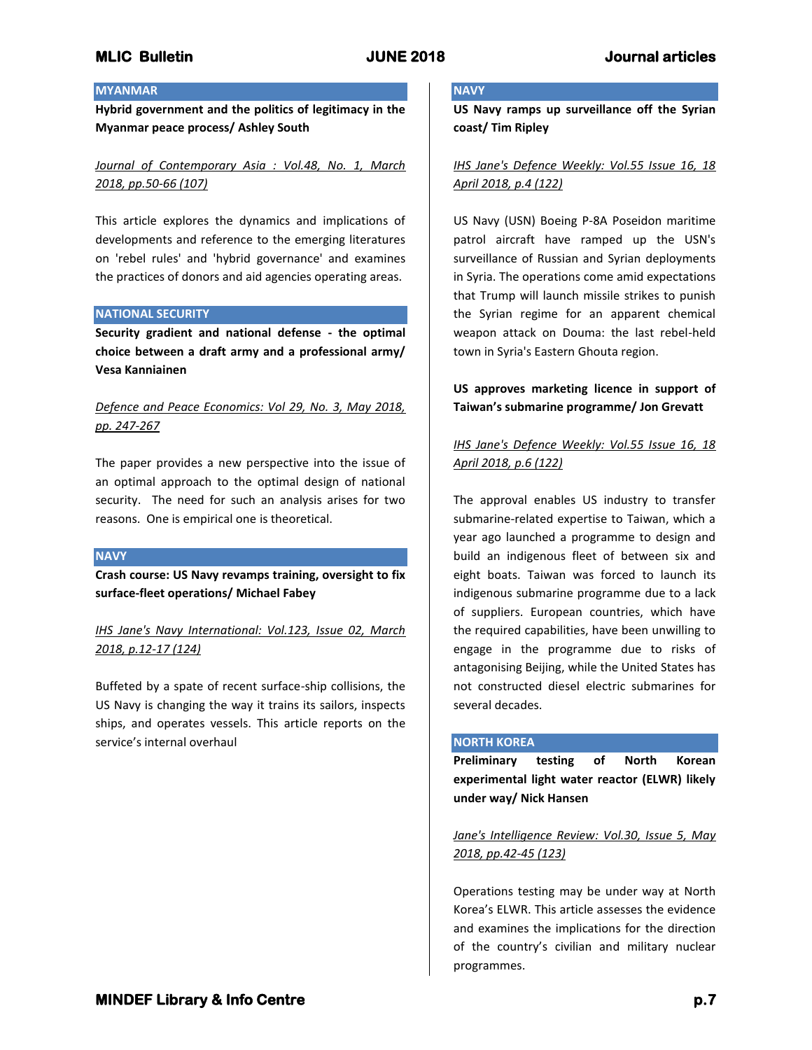## **MYANMAR**

**Hybrid government and the politics of legitimacy in the Myanmar peace process/ Ashley South**

*Journal of Contemporary Asia : Vol.48, No. 1, March 2018, pp.50-66 (107)*

This article explores the dynamics and implications of developments and reference to the emerging literatures on 'rebel rules' and 'hybrid governance' and examines the practices of donors and aid agencies operating areas.

### **NATIONAL SECURITY**

**Security gradient and national defense - the optimal choice between a draft army and a professional army/ Vesa Kanniainen**

## *Defence and Peace Economics: Vol 29, No. 3, May 2018, pp. 247-267*

The paper provides a new perspective into the issue of an optimal approach to the optimal design of national security. The need for such an analysis arises for two reasons. One is empirical one is theoretical.

### **NAVY**

**Crash course: US Navy revamps training, oversight to fix surface-fleet operations/ Michael Fabey**

*IHS Jane's Navy International: Vol.123, Issue 02, March 2018, p.12-17 (124)*

Buffeted by a spate of recent surface-ship collisions, the US Navy is changing the way it trains its sailors, inspects ships, and operates vessels. This article reports on the service's internal overhaul

#### **NAVY**

**US Navy ramps up surveillance off the Syrian coast/ Tim Ripley**

## *IHS Jane's Defence Weekly: Vol.55 Issue 16, 18 April 2018, p.4 (122)*

US Navy (USN) Boeing P-8A Poseidon maritime patrol aircraft have ramped up the USN's surveillance of Russian and Syrian deployments in Syria. The operations come amid expectations that Trump will launch missile strikes to punish the Syrian regime for an apparent chemical weapon attack on Douma: the last rebel-held town in Syria's Eastern Ghouta region.

## **US approves marketing licence in support of Taiwan's submarine programme/ Jon Grevatt**

# *IHS Jane's Defence Weekly: Vol.55 Issue 16, 18 April 2018, p.6 (122)*

The approval enables US industry to transfer submarine-related expertise to Taiwan, which a year ago launched a programme to design and build an indigenous fleet of between six and eight boats. Taiwan was forced to launch its indigenous submarine programme due to a lack of suppliers. European countries, which have the required capabilities, have been unwilling to engage in the programme due to risks of antagonising Beijing, while the United States has not constructed diesel electric submarines for several decades.

#### **NORTH KOREA**

**Preliminary testing of North Korean experimental light water reactor (ELWR) likely under way/ Nick Hansen**

*Jane's Intelligence Review: Vol.30, Issue 5, May 2018, pp.42-45 (123)*

Operations testing may be under way at North Korea's ELWR. This article assesses the evidence and examines the implications for the direction of the country's civilian and military nuclear programmes.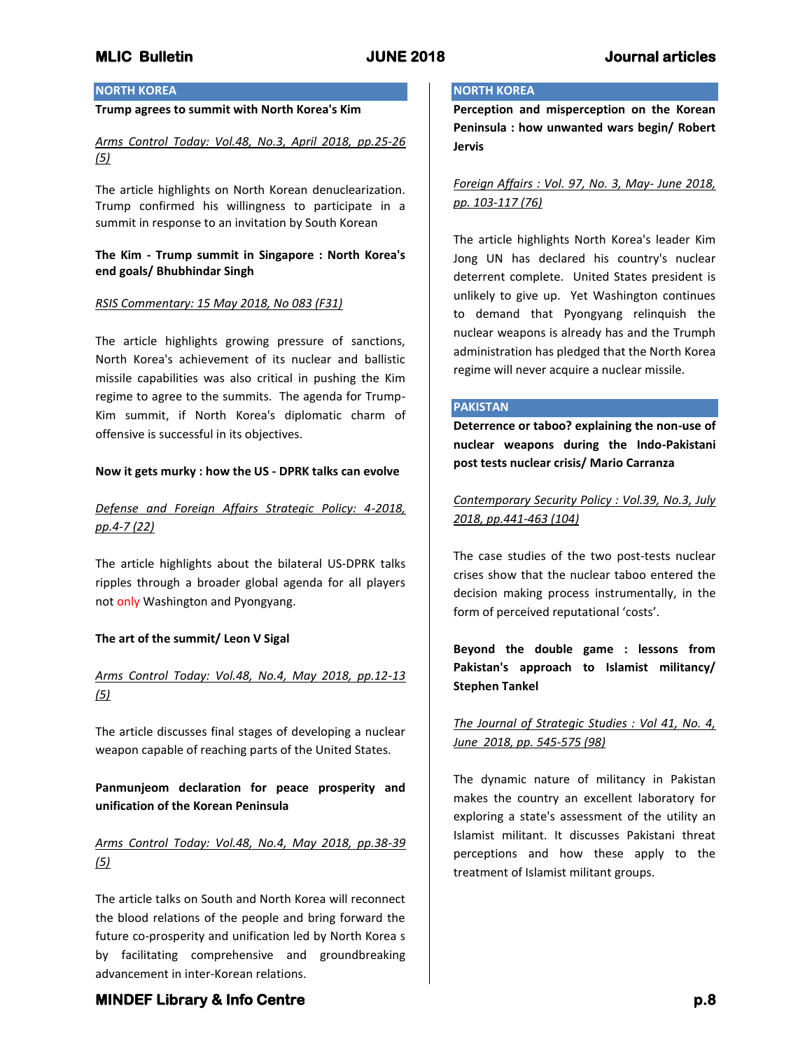## **NORTH KOREA**

#### **Trump agrees to summit with North Korea's Kim**

*Arms Control Today: Vol.48, No.3, April 2018, pp.25-26 (5)*

The article highlights on North Korean denuclearization. Trump confirmed his willingness to participate in a summit in response to an invitation by South Korean

#### **The Kim - Trump summit in Singapore : North Korea's end goals/ Bhubhindar Singh**

#### *RSIS Commentary: 15 May 2018, No 083 (F31)*

The article highlights growing pressure of sanctions, North Korea's achievement of its nuclear and ballistic missile capabilities was also critical in pushing the Kim regime to agree to the summits. The agenda for Trump-Kim summit, if North Korea's diplomatic charm of offensive is successful in its objectives.

#### **Now it gets murky : how the US - DPRK talks can evolve**

## *Defense and Foreign Affairs Strategic Policy: 4-2018, pp.4-7 (22)*

The article highlights about the bilateral US-DPRK talks ripples through a broader global agenda for all players not only Washington and Pyongyang.

### **The art of the summit/ Leon V Sigal**

## *Arms Control Today: Vol.48, No.4, May 2018, pp.12-13 (5)*

The article discusses final stages of developing a nuclear weapon capable of reaching parts of the United States.

**Panmunjeom declaration for peace prosperity and unification of the Korean Peninsula**

## *Arms Control Today: Vol.48, No.4, May 2018, pp.38-39 (5)*

The article talks on South and North Korea will reconnect the blood relations of the people and bring forward the future co-prosperity and unification led by North Korea s by facilitating comprehensive and groundbreaking advancement in inter-Korean relations.

#### **NORTH KOREA**

**Perception and misperception on the Korean Peninsula : how unwanted wars begin/ Robert Jervis**

*Foreign Affairs : Vol. 97, No. 3, May- June 2018, pp. 103-117 (76)*

The article highlights North Korea's leader Kim Jong UN has declared his country's nuclear deterrent complete. United States president is unlikely to give up. Yet Washington continues to demand that Pyongyang relinquish the nuclear weapons is already has and the Trumph administration has pledged that the North Korea regime will never acquire a nuclear missile.

#### **PAKISTAN**

**Deterrence or taboo? explaining the non-use of nuclear weapons during the Indo-Pakistani post tests nuclear crisis/ Mario Carranza**

*Contemporary Security Policy : Vol.39, No.3, July 2018, pp.441-463 (104)*

The case studies of the two post-tests nuclear crises show that the nuclear taboo entered the decision making process instrumentally, in the form of perceived reputational 'costs'.

# **Beyond the double game : lessons from Pakistan's approach to Islamist militancy/ Stephen Tankel**

## *The Journal of Strategic Studies : Vol 41, No. 4, June 2018, pp. 545-575 (98)*

The dynamic nature of militancy in Pakistan makes the country an excellent laboratory for exploring a state's assessment of the utility an Islamist militant. It discusses Pakistani threat perceptions and how these apply to the treatment of Islamist militant groups.

# **MINDEF Library & Info Centre** *p.8* $p.8$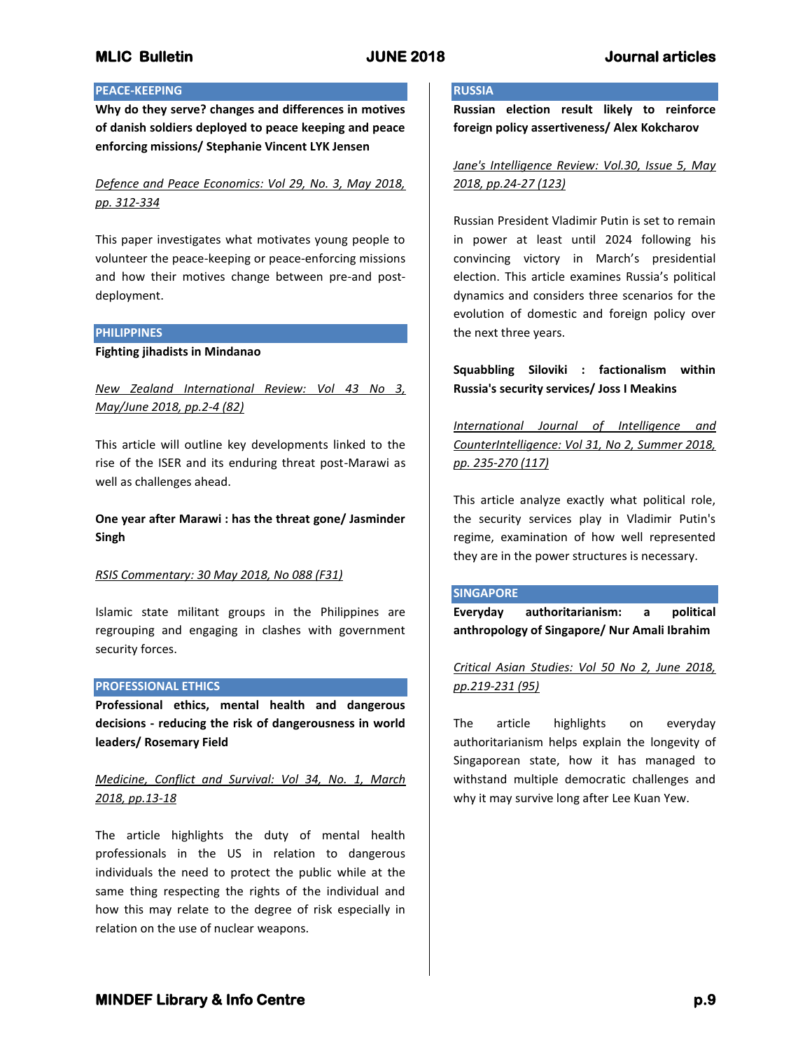### **PEACE-KEEPING**

**Why do they serve? changes and differences in motives of danish soldiers deployed to peace keeping and peace enforcing missions/ Stephanie Vincent LYK Jensen**

*Defence and Peace Economics: Vol 29, No. 3, May 2018, pp. 312-334*

This paper investigates what motivates young people to volunteer the peace-keeping or peace-enforcing missions and how their motives change between pre-and postdeployment.

#### **PHILIPPINES**

**Fighting jihadists in Mindanao**

*New Zealand International Review: Vol 43 No 3, May/June 2018, pp.2-4 (82)*

This article will outline key developments linked to the rise of the ISER and its enduring threat post-Marawi as well as challenges ahead.

**One year after Marawi : has the threat gone/ Jasminder Singh**

#### *RSIS Commentary: 30 May 2018, No 088 (F31)*

Islamic state militant groups in the Philippines are regrouping and engaging in clashes with government security forces.

#### **PROFESSIONAL ETHICS**

**Professional ethics, mental health and dangerous decisions - reducing the risk of dangerousness in world leaders/ Rosemary Field**

## *Medicine, Conflict and Survival: Vol 34, No. 1, March 2018, pp.13-18*

The article highlights the duty of mental health professionals in the US in relation to dangerous individuals the need to protect the public while at the same thing respecting the rights of the individual and how this may relate to the degree of risk especially in relation on the use of nuclear weapons.

#### **RUSSIA**

**Russian election result likely to reinforce foreign policy assertiveness/ Alex Kokcharov**

*Jane's Intelligence Review: Vol.30, Issue 5, May 2018, pp.24-27 (123)*

Russian President Vladimir Putin is set to remain in power at least until 2024 following his convincing victory in March's presidential election. This article examines Russia's political dynamics and considers three scenarios for the evolution of domestic and foreign policy over the next three years.

## **Squabbling Siloviki : factionalism within Russia's security services/ Joss I Meakins**

*International Journal of Intelligence and CounterIntelligence: Vol 31, No 2, Summer 2018, pp. 235-270 (117)*

This article analyze exactly what political role, the security services play in Vladimir Putin's regime, examination of how well represented they are in the power structures is necessary.

#### **SINGAPORE**

**Everyday authoritarianism: a political anthropology of Singapore/ Nur Amali Ibrahim**

*Critical Asian Studies: Vol 50 No 2, June 2018, pp.219-231 (95)*

The article highlights on everyday authoritarianism helps explain the longevity of Singaporean state, how it has managed to withstand multiple democratic challenges and why it may survive long after Lee Kuan Yew.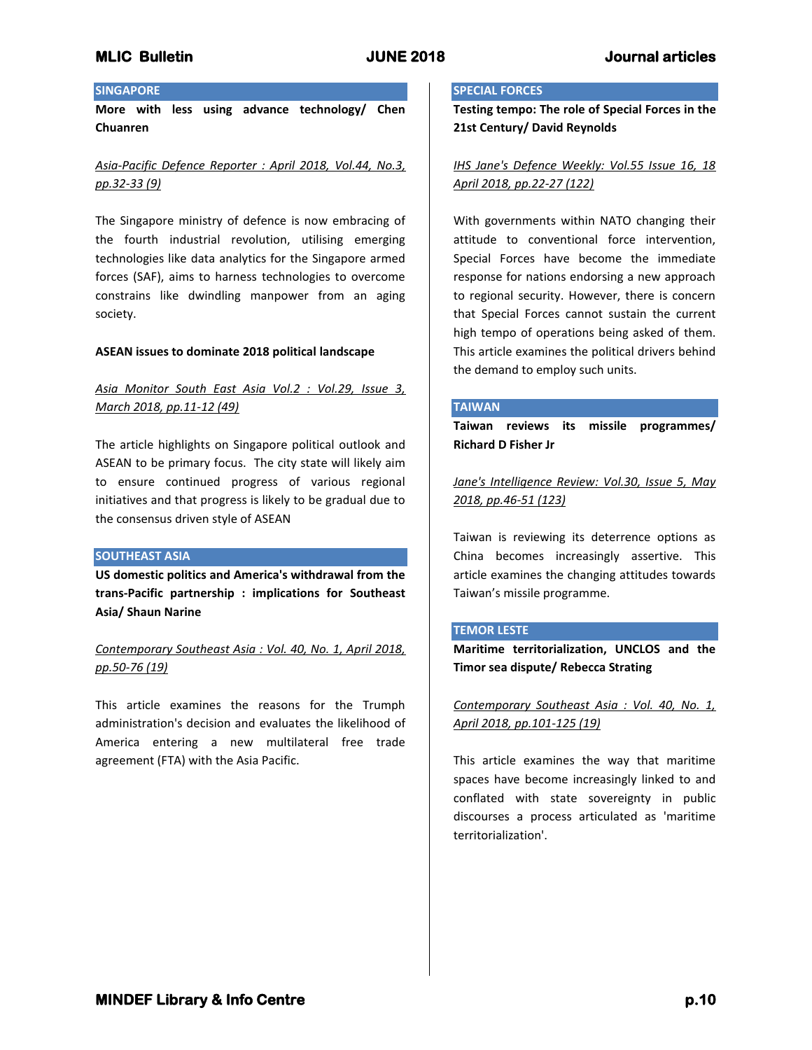#### **SINGAPORE**

**More with less using advance technology/ Chen Chuanren**

## *Asia-Pacific Defence Reporter : April 2018, Vol.44, No.3, pp.32-33 (9)*

The Singapore ministry of defence is now embracing of the fourth industrial revolution, utilising emerging technologies like data analytics for the Singapore armed forces (SAF), aims to harness technologies to overcome constrains like dwindling manpower from an aging society.

#### **ASEAN issues to dominate 2018 political landscape**

## *Asia Monitor South East Asia Vol.2 : Vol.29, Issue 3, March 2018, pp.11-12 (49)*

The article highlights on Singapore political outlook and ASEAN to be primary focus. The city state will likely aim to ensure continued progress of various regional initiatives and that progress is likely to be gradual due to the consensus driven style of ASEAN

#### **SOUTHEAST ASIA**

**US domestic politics and America's withdrawal from the trans-Pacific partnership : implications for Southeast Asia/ Shaun Narine**

## *Contemporary Southeast Asia : Vol. 40, No. 1, April 2018, pp.50-76 (19)*

This article examines the reasons for the Trumph administration's decision and evaluates the likelihood of America entering a new multilateral free trade agreement (FTA) with the Asia Pacific.

#### **SPECIAL FORCES**

**Testing tempo: The role of Special Forces in the 21st Century/ David Reynolds**

## *IHS Jane's Defence Weekly: Vol.55 Issue 16, 18 April 2018, pp.22-27 (122)*

With governments within NATO changing their attitude to conventional force intervention, Special Forces have become the immediate response for nations endorsing a new approach to regional security. However, there is concern that Special Forces cannot sustain the current high tempo of operations being asked of them. This article examines the political drivers behind the demand to employ such units.

#### **TAIWAN**

**Taiwan reviews its missile programmes/ Richard D Fisher Jr**

*Jane's Intelligence Review: Vol.30, Issue 5, May 2018, pp.46-51 (123)*

Taiwan is reviewing its deterrence options as China becomes increasingly assertive. This article examines the changing attitudes towards Taiwan's missile programme.

#### **TEMOR LESTE**

**Maritime territorialization, UNCLOS and the Timor sea dispute/ Rebecca Strating**

*Contemporary Southeast Asia : Vol. 40, No. 1, April 2018, pp.101-125 (19)*

This article examines the way that maritime spaces have become increasingly linked to and conflated with state sovereignty in public discourses a process articulated as 'maritime territorialization'.